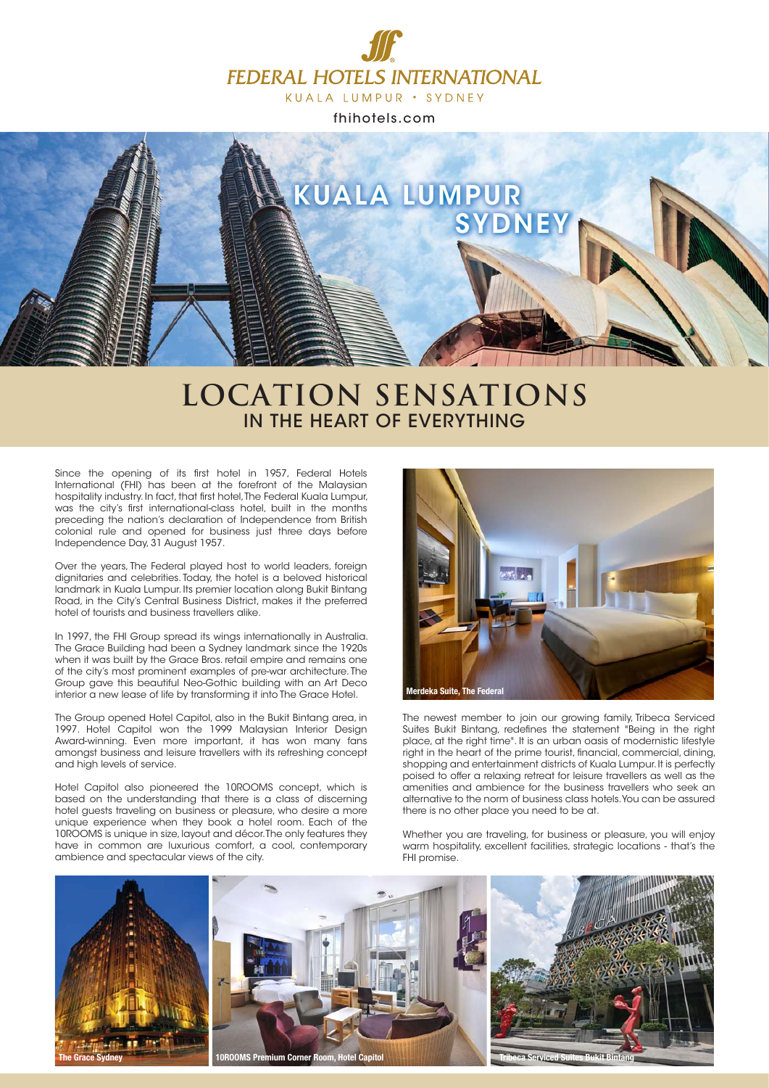

fhihotels.com



## **LOCATION SENSATIONS** IN THE HEART OF EVERYTHING

Since the opening of its first hotel in 1957, Federal Hotels International (FHI) has been at the forefront of the Malaysian hospitality industry. In fact, that first hotel, The Federal Kuala Lumpur, was the city's first international-class hotel, built in the months preceding the nation's declaration of Independence from British colonial rule and opened for business just three days before Independence Day, 31 August 1957.

Over the years, The Federal played host to world leaders, foreign dignitaries and celebrities. Today, the hotel is a beloved historical landmark in Kuala Lumpur. Its premier location along Bukit Bintang Road, in the City's Central Business District, makes it the preferred hotel of tourists and business travellers alike.

In 1997, the FHI Group spread its wings internationally in Australia. The Grace Building had been a Sydney landmark since the 1920s when it was built by the Grace Bros, retail empire and remains one of the city's most prominent examples of pre-war architecture. The Group gave this beautiful Neo-Gothic building with an Art Deco interior a new lease of life by transforming it into The Grace Hotel.

The Group opened Hotel Capitol, also in the Bukit Bintang area, in 1997. Hotel Capitol won the 1999 Malaysian Interior Design Award-winning. Even more important, it has won many fans amongst business and leisure travellers with its refreshing concept and high levels of service.

Hotel Capitol also pioneered the 10ROOMS concept, which is based on the understanding that there is a class of discerning hotel guests traveling on business or pleasure, who desire a more unique experience when they book a hotel room. Each of the 10ROOMS is unique in size, layout and décor. The only features they have in common are luxurious comfort, a cool, contemporary ambience and spectacular views of the city.



The newest member to join our growing family, Tribeca Serviced Suites Bukit Bintang, redefines the statement "Being in the right place, at the right time". It is an urban oasis of modernistic lifestyle right in the heart of the prime tourist, financial, commercial, dining, shopping and entertainment districts of Kuala Lumpur. It is perfectly poised to offer a relaxing retreat for leisure travellers as well as the amenities and ambience for the business travellers who seek an alternative to the norm of business class hotels. You can be assured there is no other place you need to be at.

Whether you are traveling, for business or pleasure, you will enjoy warm hospitality, excellent facilities, strategic locations - that's the FHI promise.